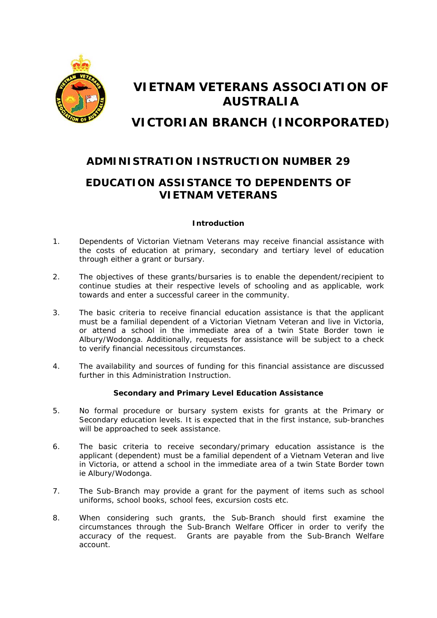

# **VIETNAM VETERANS ASSOCIATION OF AUSTRALIA**

**VICTORIAN BRANCH (INCORPORATED)** 

# **ADMINISTRATION INSTRUCTION NUMBER 29**

# **EDUCATION ASSISTANCE TO DEPENDENTS OF VIETNAM VETERANS**

# **Introduction**

- 1. Dependents of Victorian Vietnam Veterans may receive financial assistance with the costs of education at primary, secondary and tertiary level of education through either a grant or bursary.
- 2. The objectives of these grants/bursaries is to enable the dependent/recipient to continue studies at their respective levels of schooling and as applicable, work towards and enter a successful career in the community.
- 3. The basic criteria to receive financial education assistance is that the applicant must be a familial dependent of a Victorian Vietnam Veteran and live in Victoria, or attend a school in the immediate area of a twin State Border town ie Albury/Wodonga. Additionally, requests for assistance will be subject to a check to verify financial necessitous circumstances.
- 4. The availability and sources of funding for this financial assistance are discussed further in this Administration Instruction.

# **Secondary and Primary Level Education Assistance**

- 5. No formal procedure or bursary system exists for grants at the Primary or Secondary education levels. It is expected that in the first instance, sub-branches will be approached to seek assistance.
- 6. The basic criteria to receive secondary/primary education assistance is the applicant (dependent) must be a familial dependent of a Vietnam Veteran and live in Victoria, or attend a school in the immediate area of a twin State Border town ie Albury/Wodonga.
- 7. The Sub-Branch may provide a grant for the payment of items such as school uniforms, school books, school fees, excursion costs etc.
- 8. When considering such grants, the Sub-Branch should first examine the circumstances through the Sub-Branch Welfare Officer in order to verify the accuracy of the request. Grants are payable from the Sub-Branch Welfare account.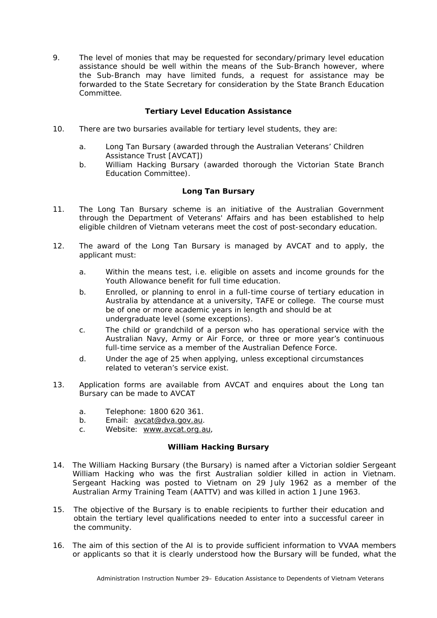9. The level of monies that may be requested for secondary/primary level education assistance should be well within the means of the Sub-Branch however, where the Sub-Branch may have limited funds, a request for assistance may be forwarded to the State Secretary for consideration by the State Branch Education Committee.

## **Tertiary Level Education Assistance**

- 10. There are two bursaries available for tertiary level students, they are:
	- a. Long Tan Bursary (awarded through the Australian Veterans' Children Assistance Trust [AVCAT])
	- b. William Hacking Bursary (awarded thorough the Victorian State Branch Education Committee).

#### **Long Tan Bursary**

- 11. The Long Tan Bursary scheme is an initiative of the Australian Government through the Department of Veterans' Affairs and has been established to help eligible children of Vietnam veterans meet the cost of post-secondary education.
- 12. The award of the Long Tan Bursary is managed by AVCAT and to apply, the applicant must:
	- a. Within the means test, i.e. eligible on assets and income grounds for the Youth Allowance benefit for full time education.
	- b. Enrolled, or planning to enrol in a full-time course of tertiary education in Australia by attendance at a university, TAFE or college. The course must be of one or more academic years in length and should be at undergraduate level (some exceptions).
	- c. The child or grandchild of a person who has operational service with the Australian Navy, Army or Air Force, or three or more year's continuous full-time service as a member of the Australian Defence Force.
	- d. Under the age of 25 when applying, unless exceptional circumstances related to veteran's service exist.
- 13. Application forms are available from AVCAT and enquires about the Long tan Bursary can be made to AVCAT
	- a. Telephone: 1800 620 361.
	- b. Email: **[avcat@dva.gov.au](mailto:avcat@dva.gov.au)**.
	- c. Website: [www.avcat.org.au,](http://www.avcat.org.au/)

#### **William Hacking Bursary**

- 14. The William Hacking Bursary (the Bursary) is named after a Victorian soldier Sergeant William Hacking who was the first Australian soldier killed in action in Vietnam. Sergeant Hacking was posted to Vietnam on 29 July 1962 as a member of the Australian Army Training Team (AATTV) and was killed in action 1 June 1963.
- 15. The objective of the Bursary is to enable recipients to further their education and obtain the tertiary level qualifications needed to enter into a successful career in the community.
- 16. The aim of this section of the AI is to provide sufficient information to VVAA members or applicants so that it is clearly understood how the Bursary will be funded, what the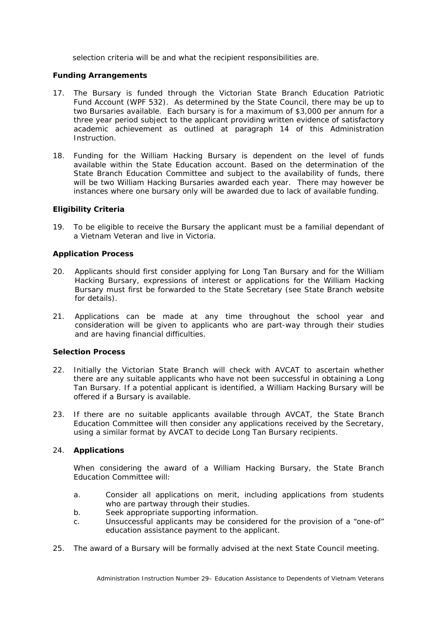selection criteria will be and what the recipient responsibilities are.

#### **Funding Arrangements**

- 17. The Bursary is funded through the Victorian State Branch Education Patriotic Fund Account (WPF 532). As determined by the State Council, there may be up to two Bursaries available. Each bursary is for a maximum of \$3,000 per annum for a three year period subject to the applicant providing written evidence of satisfactory academic achievement as outlined at paragraph 14 of this Administration Instruction.
- 18. Funding for the William Hacking Bursary is dependent on the level of funds available within the State Education account. Based on the determination of the State Branch Education Committee and subject to the availability of funds, there will be two William Hacking Bursaries awarded each year. There may however be instances where one bursary only will be awarded due to lack of available funding.

#### **Eligibility Criteria**

19. To be eligible to receive the Bursary the applicant must be a familial dependant of a Vietnam Veteran and live in Victoria.

#### **Application Process**

- 20. Applicants should first consider applying for Long Tan Bursary and for the William Hacking Bursary, expressions of interest or applications for the William Hacking Bursary must first be forwarded to the State Secretary (see State Branch website for details).
- 21. Applications can be made at any time throughout the school year and consideration will be given to applicants who are part-way through their studies and are having financial difficulties.

#### **Selection Process**

- 22. Initially the Victorian State Branch will check with AVCAT to ascertain whether there are any suitable applicants who have not been successful in obtaining a Long Tan Bursary. If a potential applicant is identified, a William Hacking Bursary will be offered if a Bursary is available.
- 23. If there are no suitable applicants available through AVCAT, the State Branch Education Committee will then consider any applications received by the Secretary, using a similar format by AVCAT to decide Long Tan Bursary recipients.

## 24. **Applications**

 When considering the award of a William Hacking Bursary, the State Branch Education Committee will:

- a. Consider all applications on merit, including applications from students who are partway through their studies.
- b. Seek appropriate supporting information.
- c. Unsuccessful applicants may be considered for the provision of a "one-of" education assistance payment to the applicant.
- 25. The award of a Bursary will be formally advised at the next State Council meeting.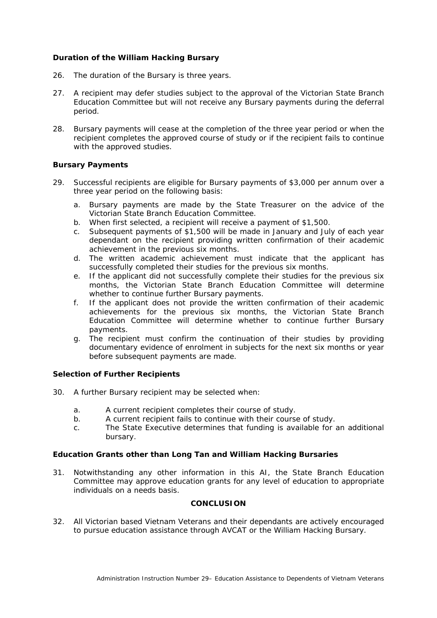#### **Duration of the William Hacking Bursary**

- 26. The duration of the Bursary is three years.
- 27. A recipient may defer studies subject to the approval of the Victorian State Branch Education Committee but will not receive any Bursary payments during the deferral period.
- 28. Bursary payments will cease at the completion of the three year period or when the recipient completes the approved course of study or if the recipient fails to continue with the approved studies.

#### **Bursary Payments**

- 29. Successful recipients are eligible for Bursary payments of \$3,000 per annum over a three year period on the following basis:
	- a. Bursary payments are made by the State Treasurer on the advice of the Victorian State Branch Education Committee.
	- b. When first selected, a recipient will receive a payment of \$1,500.
	- c. Subsequent payments of \$1,500 will be made in January and July of each year dependant on the recipient providing written confirmation of their academic achievement in the previous six months.
	- d. The written academic achievement must indicate that the applicant has successfully completed their studies for the previous six months.
	- e. If the applicant did not successfully complete their studies for the previous six months, the Victorian State Branch Education Committee will determine whether to continue further Bursary payments.
	- f. If the applicant does not provide the written confirmation of their academic achievements for the previous six months, the Victorian State Branch Education Committee will determine whether to continue further Bursary payments.
	- g. The recipient must confirm the continuation of their studies by providing documentary evidence of enrolment in subjects for the next six months or year before subsequent payments are made.

#### **Selection of Further Recipients**

- 30. A further Bursary recipient may be selected when:
	- a. A current recipient completes their course of study.
	- b. A current recipient fails to continue with their course of study.
	- c. The State Executive determines that funding is available for an additional bursary.

#### **Education Grants other than Long Tan and William Hacking Bursaries**

31. Notwithstanding any other information in this AI, the State Branch Education Committee may approve education grants for any level of education to appropriate individuals on a needs basis.

#### **CONCLUSION**

32. All Victorian based Vietnam Veterans and their dependants are actively encouraged to pursue education assistance through AVCAT or the William Hacking Bursary.